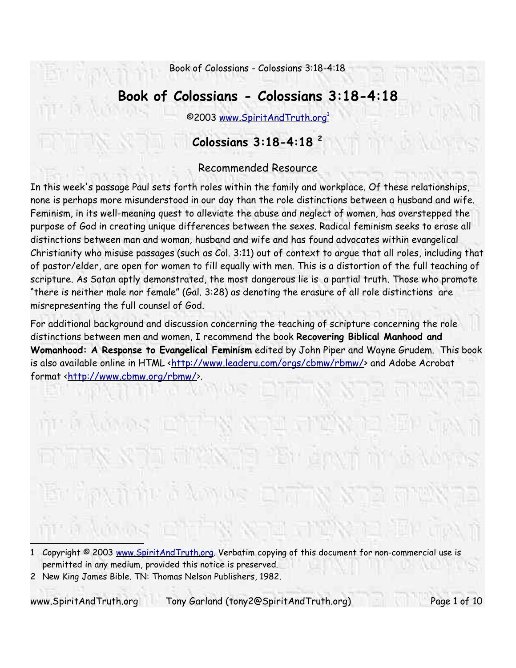# **Book of Colossians - Colossians 3:18-4:18**

©2003 www.SpiritAndTruth.org 1

## **Colossians 3:18-4:18 2**

### Recommended Resource

In this week's passage Paul sets forth roles within the family and workplace. Of these relationships, none is perhaps more misunderstood in our day than the role distinctions between a husband and wife. Feminism, in its well-meaning quest to alleviate the abuse and neglect of women, has overstepped the purpose of God in creating unique differences between the sexes. Radical feminism seeks to erase all distinctions between man and woman, husband and wife and has found advocates within evangelical Christianity who misuse passages (such as Col. 3:11) out of context to argue that all roles, including that of pastor/elder, are open for women to fill equally with men. This is a distortion of the full teaching of scripture. As Satan aptly demonstrated, the most dangerous lie is a partial truth. Those who promote "there is neither male nor female" (Gal. 3:28) as denoting the erasure of all role distinctions are misrepresenting the full counsel of God.

For additional background and discussion concerning the teaching of scripture concerning the role distinctions between men and women, I recommend the book **Recovering Biblical Manhood and Womanhood: A Response to Evangelical Feminism** edited by John Piper and Wayne Grudem. This book is also available online in HTML <http://www.leaderu.com/orgs/cbmw/rbmw/> and Adobe Acrobat format <http://www.cbmw.org/rbmw/>.

www.SpiritAndTruth.org Tony Garland (tony2@SpiritAndTruth.org) Page 1 of 10

<sup>1</sup> Copyright © 2003 www.SpiritAndTruth.org. Verbatim copying of this document for non-commercial use is permitted in any medium, provided this notice is preserved.

<sup>2</sup> New King James Bible. TN: Thomas Nelson Publishers, 1982.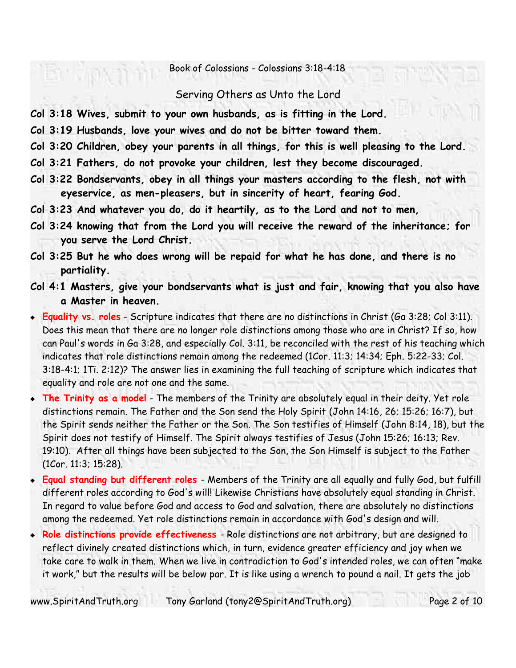#### Serving Others as Unto the Lord

- **Col 3:18 Wives, submit to your own husbands, as is fitting in the Lord.**
- **Col 3:19 Husbands, love your wives and do not be bitter toward them.**
- **Col 3:20 Children, obey your parents in all things, for this is well pleasing to the Lord.**
- **Col 3:21 Fathers, do not provoke your children, lest they become discouraged.**
- **Col 3:22 Bondservants, obey in all things your masters according to the flesh, not with eyeservice, as men-pleasers, but in sincerity of heart, fearing God.**
- **Col 3:23 And whatever you do, do it heartily, as to the Lord and not to men,**
- **Col 3:24 knowing that from the Lord you will receive the reward of the inheritance; for you serve the Lord Christ.**
- **Col 3:25 But he who does wrong will be repaid for what he has done, and there is no partiality.**
- **Col 4:1 Masters, give your bondservants what is just and fair, knowing that you also have a Master in heaven.**
- **Equality vs. roles** Scripture indicates that there are no distinctions in Christ (Ga 3:28; Col 3:11). Does this mean that there are no longer role distinctions among those who are in Christ? If so, how can Paul's words in Ga 3:28, and especially Col. 3:11, be reconciled with the rest of his teaching which indicates that role distinctions remain among the redeemed (1Cor. 11:3; 14:34; Eph. 5:22-33; Col. 3:18-4:1; 1Ti. 2:12)? The answer lies in examining the full teaching of scripture which indicates that equality and role are not one and the same.
- **The Trinity as a model** The members of the Trinity are absolutely equal in their deity. Yet role distinctions remain. The Father and the Son send the Holy Spirit (John 14:16, 26; 15:26; 16:7), but the Spirit sends neither the Father or the Son. The Son testifies of Himself (John 8:14, 18), but the Spirit does not testify of Himself. The Spirit always testifies of Jesus (John 15:26; 16:13; Rev. 19:10). After all things have been subjected to the Son, the Son Himself is subject to the Father (1Cor. 11:3; 15:28).
- **Equal standing but different roles** Members of the Trinity are all equally and fully God, but fulfill different roles according to God's will! Likewise Christians have absolutely equal standing in Christ. In regard to value before God and access to God and salvation, there are absolutely no distinctions among the redeemed. Yet role distinctions remain in accordance with God's design and will.
- **Role distinctions provide effectiveness**  Role distinctions are not arbitrary, but are designed to reflect divinely created distinctions which, in turn, evidence greater efficiency and joy when we take care to walk in them. When we live in contradiction to God's intended roles, we can often "make it work," but the results will be below par. It is like using a wrench to pound a nail. It gets the job

www.SpiritAndTruth.org Tony Garland (tony2@SpiritAndTruth.org) Page 2 of 10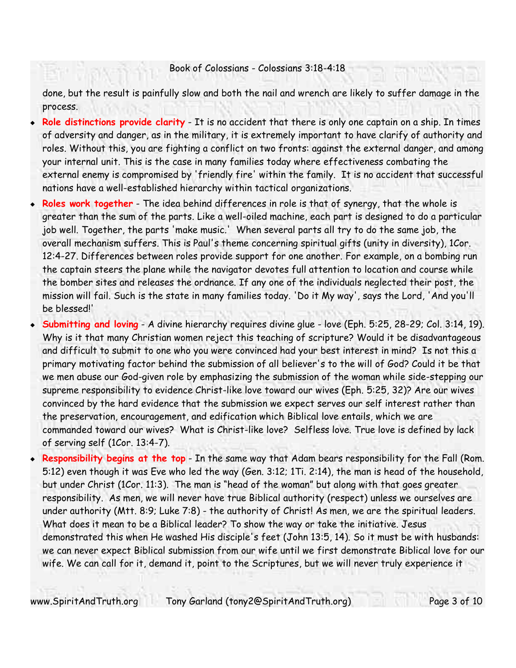done, but the result is painfully slow and both the nail and wrench are likely to suffer damage in the process.

- **Role distinctions provide clarity** It is no accident that there is only one captain on a ship. In times of adversity and danger, as in the military, it is extremely important to have clarify of authority and roles. Without this, you are fighting a conflict on two fronts: against the external danger, and among your internal unit. This is the case in many families today where effectiveness combating the external enemy is compromised by 'friendly fire' within the family. It is no accident that successful nations have a well-established hierarchy within tactical organizations.
- **Roles work together** The idea behind differences in role is that of synergy, that the whole is greater than the sum of the parts. Like a well-oiled machine, each part is designed to do a particular job well. Together, the parts 'make music.' When several parts all try to do the same job, the overall mechanism suffers. This is Paul's theme concerning spiritual gifts (unity in diversity), 1Cor. 12:4-27. Differences between roles provide support for one another. For example, on a bombing run the captain steers the plane while the navigator devotes full attention to location and course while the bomber sites and releases the ordnance. If any one of the individuals neglected their post, the mission will fail. Such is the state in many families today. 'Do it My way', says the Lord, 'And you'll be blessed!'
- **Submitting and loving** A divine hierarchy requires divine glue love (Eph. 5:25, 28-29; Col. 3:14, 19). Why is it that many Christian women reject this teaching of scripture? Would it be disadvantageous and difficult to submit to one who you were convinced had your best interest in mind? Is not this a primary motivating factor behind the submission of all believer's to the will of God? Could it be that we men abuse our God-given role by emphasizing the submission of the woman while side-stepping our supreme responsibility to evidence Christ-like love toward our wives (Eph. 5:25, 32)? Are our wives convinced by the hard evidence that the submission we expect serves our self interest rather than the preservation, encouragement, and edification which Biblical love entails, which we are commanded toward our wives? What is Christ-like love? Selfless love. True love is defined by lack of serving self (1Cor. 13:4-7).
- **Responsibility begins at the top** In the same way that Adam bears responsibility for the Fall (Rom. 5:12) even though it was Eve who led the way (Gen. 3:12; 1Ti. 2:14), the man is head of the household, but under Christ (1Cor. 11:3). The man is "head of the woman" but along with that goes greater responsibility. As men, we will never have true Biblical authority (respect) unless we ourselves are under authority (Mtt. 8:9; Luke 7:8) - the authority of Christ! As men, we are the spiritual leaders. What does it mean to be a Biblical leader? To show the way or take the initiative. Jesus demonstrated this when He washed His disciple's feet (John 13:5, 14). So it must be with husbands: we can never expect Biblical submission from our wife until we first demonstrate Biblical love for our wife. We can call for it, demand it, point to the Scriptures, but we will never truly experience it

www.SpiritAndTruth.org Tony Garland (tony2@SpiritAndTruth.org) Page 3 of 10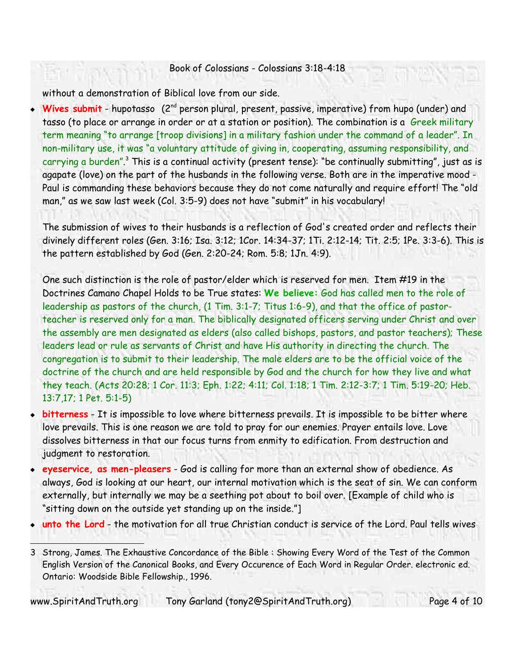without a demonstration of Biblical love from our side.

**Wives submit** - hupotasso (2<sup>nd</sup> person plural, present, passive, imperative) from hupo (under) and tasso (to place or arrange in order or at a station or position). The combination is a Greek military term meaning "to arrange [troop divisions] in a military fashion under the command of a leader". In non-military use, it was "a voluntary attitude of giving in, cooperating, assuming responsibility, and carrying a burden".<sup>3</sup> This is a continual activity (present tense): "be continually submitting", just as is agapate (love) on the part of the husbands in the following verse. Both are in the imperative mood - Paul is commanding these behaviors because they do not come naturally and require effort! The "old man," as we saw last week (Col. 3:5-9) does not have "submit" in his vocabulary!

The submission of wives to their husbands is a reflection of God's created order and reflects their divinely different roles (Gen. 3:16; Isa. 3:12; 1Cor. 14:34-37; 1Ti. 2:12-14; Tit. 2:5; 1Pe. 3:3-6). This is the pattern established by God (Gen. 2:20-24; Rom. 5:8; 1Jn. 4:9).

One such distinction is the role of pastor/elder which is reserved for men. Item #19 in the Doctrines Camano Chapel Holds to be True states: **We believe:** God has called men to the role of leadership as pastors of the church, (1 Tim. 3:1-7; Titus 1:6-9), and that the office of pastorteacher is reserved only for a man. The biblically designated officers serving under Christ and over the assembly are men designated as elders (also called bishops, pastors, and pastor teachers); These leaders lead or rule as servants of Christ and have His authority in directing the church. The congregation is to submit to their leadership. The male elders are to be the official voice of the doctrine of the church and are held responsible by God and the church for how they live and what they teach. (Acts 20:28; 1 Cor. 11:3; Eph. 1:22; 4:11; Col. 1:18; 1 Tim. 2:12-3:7; 1 Tim. 5:19-20; Heb. 13:7,17; 1 Pet. 5:1-5)

- **bitterness** It is impossible to love where bitterness prevails. It is impossible to be bitter where love prevails. This is one reason we are told to pray for our enemies. Prayer entails love. Love dissolves bitterness in that our focus turns from enmity to edification. From destruction and judgment to restoration.
- **eyeservice, as men-pleasers** God is calling for more than an external show of obedience. As always, God is looking at our heart, our internal motivation which is the seat of sin. We can conform externally, but internally we may be a seething pot about to boil over. [Example of child who is "sitting down on the outside yet standing up on the inside."]
- **unto the Lord** the motivation for all true Christian conduct is service of the Lord. Paul tells wives

3 Strong, James. The Exhaustive Concordance of the Bible : Showing Every Word of the Test of the Common English Version of the Canonical Books, and Every Occurence of Each Word in Regular Order. electronic ed. Ontario: Woodside Bible Fellowship., 1996.

www.SpiritAndTruth.org Tony Garland (tony2@SpiritAndTruth.org) Page 4 of 10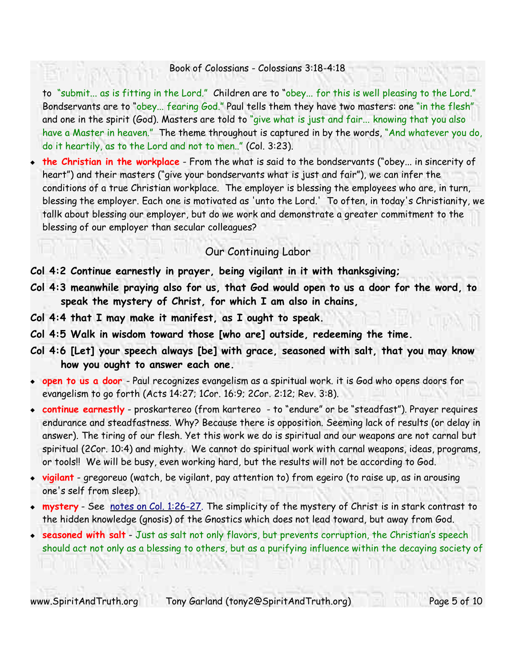to "submit... as is fitting in the Lord." Children are to "obey... for this is well pleasing to the Lord." Bondservants are to "obey... fearing God." Paul tells them they have two masters: one "in the flesh" and one in the spirit (God). Masters are told to "give what is just and fair... knowing that you also have a Master in heaven." The theme throughout is captured in by the words, "And whatever you do, do it heartily, as to the Lord and not to men.." (Col. 3:23).

 **the Christian in the workplace** - From the what is said to the bondservants ("obey... in sincerity of heart") and their masters ("give your bondservants what is just and fair"), we can infer the conditions of a true Christian workplace. The employer is blessing the employees who are, in turn, blessing the employer. Each one is motivated as 'unto the Lord.' To often, in today's Christianity, we tallk about blessing our employer, but do we work and demonstrate a greater commitment to the blessing of our employer than secular colleagues?

#### Our Continuing Labor

**Col 4:2 Continue earnestly in prayer, being vigilant in it with thanksgiving;**

- **Col 4:3 meanwhile praying also for us, that God would open to us a door for the word, to speak the mystery of Christ, for which I am also in chains,**
- **Col 4:4 that I may make it manifest, as I ought to speak.**
- **Col 4:5 Walk in wisdom toward those [who are] outside, redeeming the time.**
- **Col 4:6 [Let] your speech always [be] with grace, seasoned with salt, that you may know how you ought to answer each one.**
- **open to us a door**  Paul recognizes evangelism as a spiritual work. it is God who opens doors for evangelism to go forth (Acts 14:27; 1Cor. 16:9; 2Cor. 2:12; Rev. 3:8).
- **continue earnestly** proskartereo (from kartereo to "endure" or be "steadfast"). Prayer requires endurance and steadfastness. Why? Because there is opposition. Seeming lack of results (or delay in answer). The tiring of our flesh. Yet this work we do is spiritual and our weapons are not carnal but spiritual (2Cor. 10:4) and mighty. We cannot do spiritual work with carnal weapons, ideas, programs, or tools!! We will be busy, even working hard, but the results will not be according to God.
- **vigilant** gregoreuo (watch, be vigilant, pay attention to) from egeiro (to raise up, as in arousing one's self from sleep).
- **mystery** See notes on Col. 1:26-27. The simplicity of the mystery of Christ is in stark contrast to the hidden knowledge (gnosis) of the Gnostics which does not lead toward, but away from God.
- **seasoned with salt** Just as salt not only flavors, but prevents corruption, the Christian's speech should act not only as a blessing to others, but as a purifying influence within the decaying society of

www.SpiritAndTruth.org Tony Garland (tony2@SpiritAndTruth.org) Page 5 of 10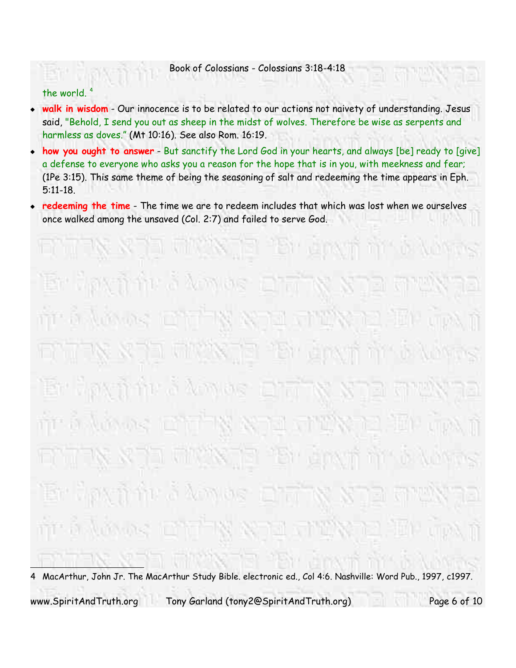#### the world. 4

- walk in wisdom Our innocence is to be related to our actions not naivety of understanding. Jesus said, "Behold, I send you out as sheep in the midst of wolves. Therefore be wise as serpents and harmless as doves." (Mt 10:16). See also Rom. 16:19.
- **how you ought to answer** But sanctify the Lord God in your hearts, and always [be] ready to [give] a defense to everyone who asks you a reason for the hope that is in you, with meekness and fear; (1Pe 3:15). This same theme of being the seasoning of salt and redeeming the time appears in Eph. 5:11-18.
- **redeeming the time** The time we are to redeem includes that which was lost when we ourselves once walked among the unsaved (Col. 2:7) and failed to serve God.

4 MacArthur, John Jr. The MacArthur Study Bible. electronic ed., Col 4:6. Nashville: Word Pub., 1997, c1997. www.SpiritAndTruth.org Tony Garland (tony2@SpiritAndTruth.org) Page 6 of 10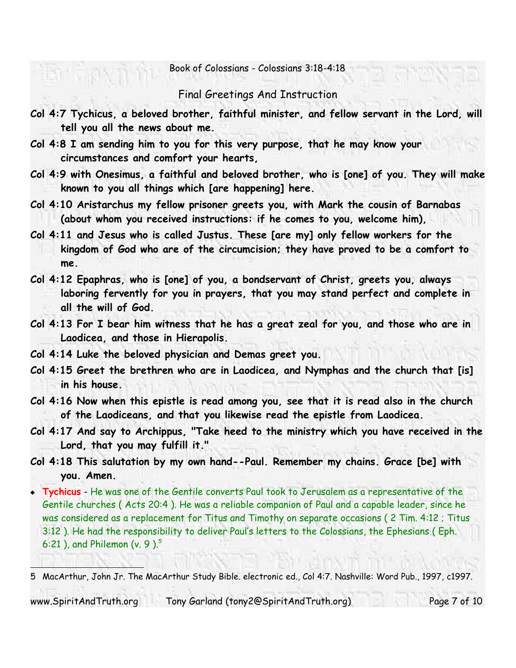Final Greetings And Instruction

- **Col 4:7 Tychicus, a beloved brother, faithful minister, and fellow servant in the Lord, will tell you all the news about me.**
- **Col 4:8 I am sending him to you for this very purpose, that he may know your circumstances and comfort your hearts,**
- **Col 4:9 with Onesimus, a faithful and beloved brother, who is [one] of you. They will make known to you all things which [are happening] here.**
- **Col 4:10 Aristarchus my fellow prisoner greets you, with Mark the cousin of Barnabas (about whom you received instructions: if he comes to you, welcome him),**
- **Col 4:11 and Jesus who is called Justus. These [are my] only fellow workers for the kingdom of God who are of the circumcision; they have proved to be a comfort to me.**
- **Col 4:12 Epaphras, who is [one] of you, a bondservant of Christ, greets you, always laboring fervently for you in prayers, that you may stand perfect and complete in all the will of God.**
- **Col 4:13 For I bear him witness that he has a great zeal for you, and those who are in Laodicea, and those in Hierapolis.**
- **Col 4:14 Luke the beloved physician and Demas greet you.**
- **Col 4:15 Greet the brethren who are in Laodicea, and Nymphas and the church that [is] in his house.**
- **Col 4:16 Now when this epistle is read among you, see that it is read also in the church of the Laodiceans, and that you likewise read the epistle from Laodicea.**
- **Col 4:17 And say to Archippus, "Take heed to the ministry which you have received in the Lord, that you may fulfill it."**
- **Col 4:18 This salutation by my own hand--Paul. Remember my chains. Grace [be] with you. Amen.**
- **Tychicus** He was one of the Gentile converts Paul took to Jerusalem as a representative of the Gentile churches ( Acts 20:4 ). He was a reliable companion of Paul and a capable leader, since he was considered as a replacement for Titus and Timothy on separate occasions ( 2 Tim. 4:12 ; Titus 3:12 ). He had the responsibility to deliver Paul's letters to the Colossians, the Ephesians ( Eph. 6:21 ), and Philemon (v. 9 ). $^5$

www.SpiritAndTruth.org Tony Garland (tony2@SpiritAndTruth.org) Page 7 of 10

<sup>5</sup> MacArthur, John Jr. The MacArthur Study Bible. electronic ed., Col 4:7. Nashville: Word Pub., 1997, c1997.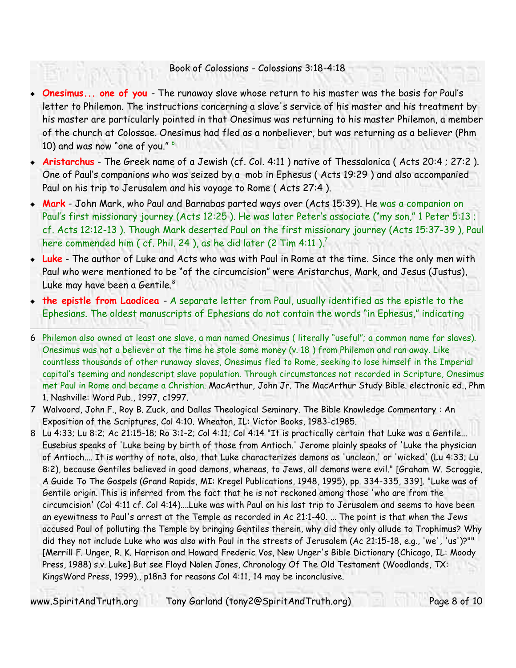- **Onesimus... one of you**  The runaway slave whose return to his master was the basis for Paul's letter to Philemon. The instructions concerning a slave's service of his master and his treatment by his master are particularly pointed in that Onesimus was returning to his master Philemon, a member of the church at Colossae. Onesimus had fled as a nonbeliever, but was returning as a believer (Phm 10) and was now "one of you." 6
- **Aristarchus** The Greek name of a Jewish (cf. Col. 4:11 ) native of Thessalonica ( Acts 20:4 ; 27:2 ). One of Paul's companions who was seized by a mob in Ephesus ( Acts 19:29 ) and also accompanied Paul on his trip to Jerusalem and his voyage to Rome ( Acts 27:4 ).
- **Mark** John Mark, who Paul and Barnabas parted ways over (Acts 15:39). He was a companion on Paul's first missionary journey (Acts 12:25 ). He was later Peter's associate ("my son," 1 Peter 5:13 ; cf. Acts 12:12-13 ). Though Mark deserted Paul on the first missionary journey (Acts 15:37-39 ), Paul here commended him ( cf. Phil. 24 ), as he did later (2 Tim 4:11 ). $^7$
- **Luke** The author of Luke and Acts who was with Paul in Rome at the time. Since the only men with Paul who were mentioned to be "of the circumcision" were Aristarchus, Mark, and Jesus (Justus), Luke may have been a Gentile. 8
- **the epistle from Laodicea** A separate letter from Paul, usually identified as the epistle to the Ephesians. The oldest manuscripts of Ephesians do not contain the words "in Ephesus," indicating
- 6 Philemon also owned at least one slave, a man named Onesimus ( literally "useful"; a common name for slaves). Onesimus was not a believer at the time he stole some money (v. 18 ) from Philemon and ran away. Like countless thousands of other runaway slaves, Onesimus fled to Rome, seeking to lose himself in the Imperial capital's teeming and nondescript slave population. Through circumstances not recorded in Scripture, Onesimus met Paul in Rome and became a Christian. MacArthur, John Jr. The MacArthur Study Bible. electronic ed., Phm 1. Nashville: Word Pub., 1997, c1997.
- 7 Walvoord, John F., Roy B. Zuck, and Dallas Theological Seminary. The Bible Knowledge Commentary : An Exposition of the Scriptures, Col 4:10. Wheaton, IL: Victor Books, 1983-c1985.
- 8 Lu 4:33; Lu 8:2; Ac 21:15-18; Ro 3:1-2; Col 4:11; Col 4:14 "It is practically certain that Luke was a Gentile... Eusebius speaks of 'Luke being by birth of those from Antioch.' Jerome plainly speaks of 'Luke the physician of Antioch.... It is worthy of note, also, that Luke characterizes demons as 'unclean,' or 'wicked' (Lu 4:33; Lu 8:2), because Gentiles believed in good demons, whereas, to Jews, all demons were evil." [Graham W. Scroggie, A Guide To The Gospels (Grand Rapids, MI: Kregel Publications, 1948, 1995), pp. 334-335, 339]. "Luke was of Gentile origin. This is inferred from the fact that he is not reckoned among those 'who are from the circumcision' (Col 4:11 cf. Col 4:14)....Luke was with Paul on his last trip to Jerusalem and seems to have been an eyewitness to Paul's arrest at the Temple as recorded in Ac 21:1-40. ... The point is that when the Jews accused Paul of polluting the Temple by bringing Gentiles therein, why did they only allude to Trophimus? Why did they not include Luke who was also with Paul in the streets of Jerusalem (Ac 21:15-18, e.g., 'we', 'us')?"" [Merrill F. Unger, R. K. Harrison and Howard Frederic Vos, New Unger's Bible Dictionary (Chicago, IL: Moody Press, 1988) s.v. Luke] But see Floyd Nolen Jones, Chronology Of The Old Testament (Woodlands, TX: KingsWord Press, 1999)., p18n3 for reasons Col 4:11, 14 may be inconclusive.

www.SpiritAndTruth.org Tony Garland (tony2@SpiritAndTruth.org) Page 8 of 10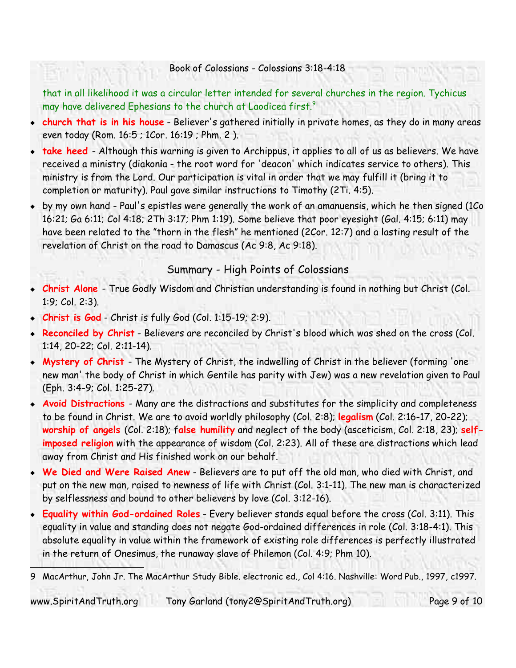that in all likelihood it was a circular letter intended for several churches in the region. Tychicus may have delivered Ephesians to the church at Laodicea first.<sup>9</sup>

- **church that is in his house** Believer's gathered initially in private homes, as they do in many areas even today (Rom. 16:5 ; 1Cor. 16:19 ; Phm. 2 ).
- **take heed** Although this warning is given to Archippus, it applies to all of us as believers. We have received a ministry (diakon**i**a - the root word for 'deacon' which indicates service to others). This ministry is from the Lord. Our participation is vital in order that we may fulfill it (bring it to completion or maturity). Paul gave similar instructions to Timothy (2Ti. 4:5).
- by my own hand Paul's epistles were generally the work of an amanuensis, which he then signed (1Co 16:21; Ga 6:11; Col 4:18; 2Th 3:17; Phm 1:19). Some believe that poor eyesight (Gal. 4:15; 6:11) may have been related to the "thorn in the flesh" he mentioned (2Cor. 12:7) and a lasting result of the revelation of Christ on the road to Damascus (Ac 9:8, Ac 9:18).

### Summary - High Points of Colossians

- **Christ Alone** True Godly Wisdom and Christian understanding is found in nothing but Christ (Col. 1:9; Col. 2:3).
- **Christ is God** Christ is fully God (Col. 1:15-19; 2:9).
- **Reconciled by Christ** Believers are reconciled by Christ's blood which was shed on the cross (Col. 1:14, 20-22; Col. 2:11-14).
- **Mystery of Christ**  The Mystery of Christ, the indwelling of Christ in the believer (forming 'one new man' the body of Christ in which Gentile has parity with Jew) was a new revelation given to Paul (Eph. 3:4-9; Col. 1:25-27).
- **Avoid Distractions**  Many are the distractions and substitutes for the simplicity and completeness to be found in Christ. We are to avoid worldly philosophy (Col. 2:8); **legalism** (Col. 2:16-17, 20-22); **worship of angels** (Col. 2:18); f**alse humility** and neglect of the body (asceticism, Col. 2:18, 23); **selfimposed religion** with the appearance of wisdom (Col. 2:23). All of these are distractions which lead away from Christ and His finished work on our behalf.
- **We Died and Were Raised Anew** Believers are to put off the old man, who died with Christ, and put on the new man, raised to newness of life with Christ (Col. 3:1-11). The new man is characterized by selflessness and bound to other believers by love (Col. 3:12-16).
- **Equality within God-ordained Roles** Every believer stands equal before the cross (Col. 3:11). This equality in value and standing does not negate God-ordained differences in role (Col. 3:18-4:1). This absolute equality in value within the framework of existing role differences is perfectly illustrated in the return of Onesimus, the runaway slave of Philemon (Col. 4:9; Phm 10).

9 MacArthur, John Jr. The MacArthur Study Bible. electronic ed., Col 4:16. Nashville: Word Pub., 1997, c1997.

www.SpiritAndTruth.org Tony Garland (tony2@SpiritAndTruth.org) Page 9 of 10